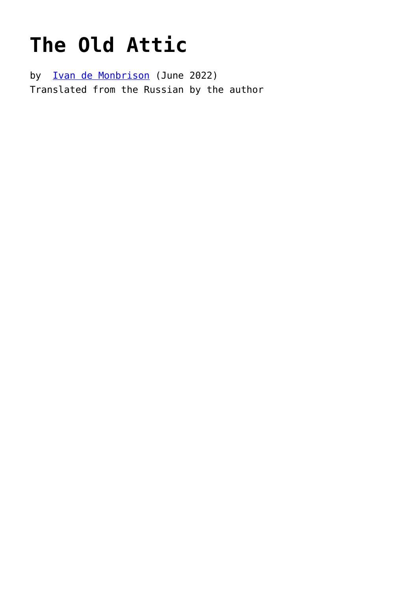## **[The Old Attic](https://www.newenglishreview.org/articles/the-old-attic/)**

by **[Ivan de Monbrison](https://www.newenglishreview.org/authors/ivan-de-monbrison/)** (June 2022) Translated from the Russian by the author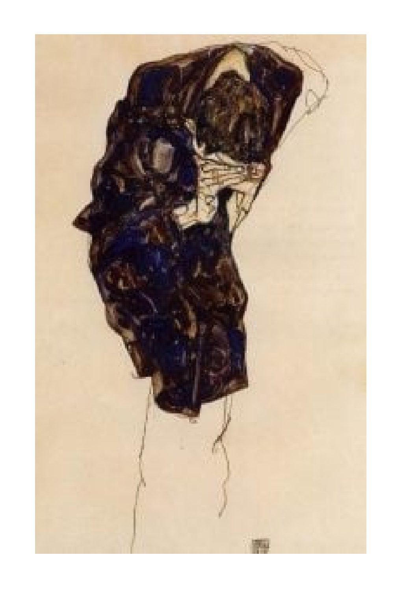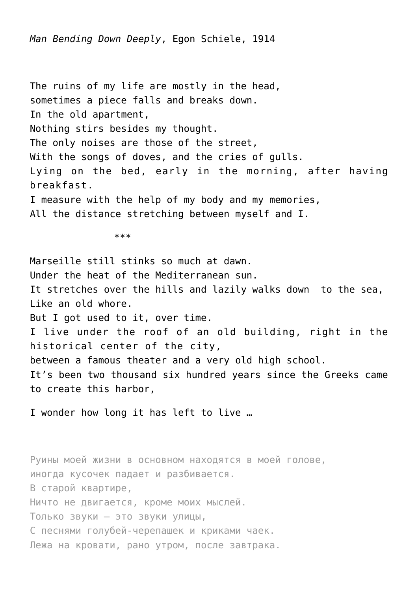*Man Bending Down Deeply*, Egon Schiele, 1914

The ruins of my life are mostly in the head, sometimes a piece falls and breaks down. In the old apartment, Nothing stirs besides my thought. The only noises are those of the street, With the songs of doves, and the cries of gulls. Lying on the bed, early in the morning, after having breakfast. I measure with the help of my body and my memories, All the distance stretching between myself and I. \*\*\* Marseille still stinks so much at dawn. Under the heat of the Mediterranean sun. It stretches over the hills and lazily walks down to the sea, Like an old whore. But I got used to it, over time. I live under the roof of an old building, right in the historical center of the city, between a famous theater and a very old high school. It's been two thousand six hundred years since the Greeks came to create this harbor,

I wonder how long it has left to live …

Руины моей жизни в основном находятся в моей голове, иногда кусочек падает и разбивается. В старой квартире, Ничто не двигается, кроме моих мыслей. Только звуки – это звуки улицы, С песнями голубей-черепашек и криками чаек. Лежа на кровати, рано утром, после завтрака.